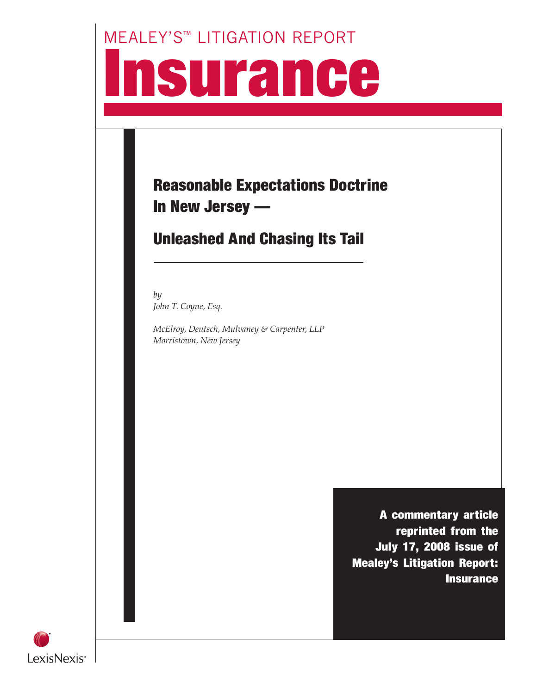# MEALEY'S™ LITIGATION REPORT **Isurance**

## Reasonable Expectations Doctrine In New Jersey —

## Unleashed And Chasing Its Tail

*by John T. Coyne, Esq.*

*McElroy, Deutsch, Mulvaney & Carpenter, LLP Morristown, New Jersey*

> A commentary article reprinted from the July 17, 2008 issue of Mealey's Litigation Report: **Insurance**

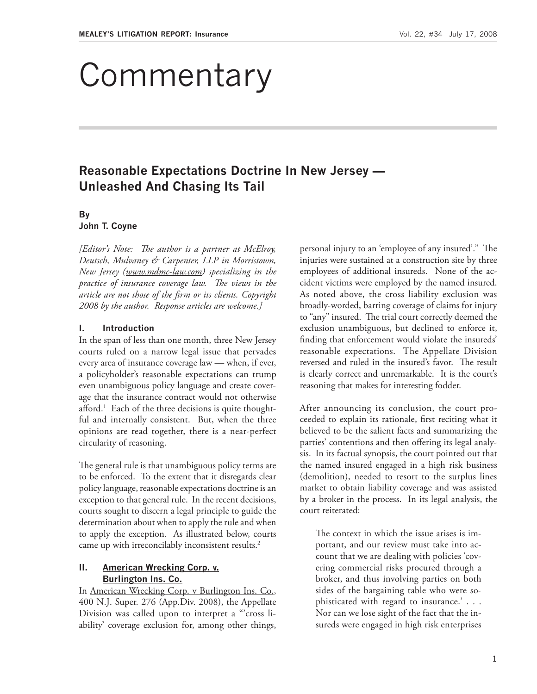## **Commentary**

### **Reasonable Expectations Doctrine In New Jersey — Unleashed And Chasing Its Tail**

#### **By**

#### **John T. Coyne**

*[Editor's Note: The author is a partner at McElroy, Deutsch, Mulvaney & Carpenter, LLP in Morristown, New Jersey (www.mdmc-law.com) specializing in the practice of insurance coverage law. The views in the article are not those of the firm or its clients. Copyright 2008 by the author. Response articles are welcome.]*

#### **I. Introduction**

In the span of less than one month, three New Jersey courts ruled on a narrow legal issue that pervades every area of insurance coverage law — when, if ever, a policyholder's reasonable expectations can trump even unambiguous policy language and create coverage that the insurance contract would not otherwise afford.<sup>1</sup> Each of the three decisions is quite thoughtful and internally consistent. But, when the three opinions are read together, there is a near-perfect circularity of reasoning.

The general rule is that unambiguous policy terms are to be enforced. To the extent that it disregards clear policy language, reasonable expectations doctrine is an exception to that general rule. In the recent decisions, courts sought to discern a legal principle to guide the determination about when to apply the rule and when to apply the exception. As illustrated below, courts came up with irreconcilably inconsistent results.<sup>2</sup>

#### **II. American Wrecking Corp. v. Burlington Ins. Co.**

In American Wrecking Corp. v Burlington Ins. Co., 400 N.J. Super. 276 (App.Div. 2008), the Appellate Division was called upon to interpret a "'cross liability' coverage exclusion for, among other things,

personal injury to an 'employee of any insured'." The injuries were sustained at a construction site by three employees of additional insureds. None of the accident victims were employed by the named insured. As noted above, the cross liability exclusion was broadly-worded, barring coverage of claims for injury to "any" insured. The trial court correctly deemed the exclusion unambiguous, but declined to enforce it, finding that enforcement would violate the insureds' reasonable expectations. The Appellate Division reversed and ruled in the insured's favor. The result is clearly correct and unremarkable. It is the court's reasoning that makes for interesting fodder.

After announcing its conclusion, the court proceeded to explain its rationale, first reciting what it believed to be the salient facts and summarizing the parties' contentions and then offering its legal analysis. In its factual synopsis, the court pointed out that the named insured engaged in a high risk business (demolition), needed to resort to the surplus lines market to obtain liability coverage and was assisted by a broker in the process. In its legal analysis, the court reiterated:

The context in which the issue arises is important, and our review must take into account that we are dealing with policies 'covering commercial risks procured through a broker, and thus involving parties on both sides of the bargaining table who were sophisticated with regard to insurance.' . . . Nor can we lose sight of the fact that the insureds were engaged in high risk enterprises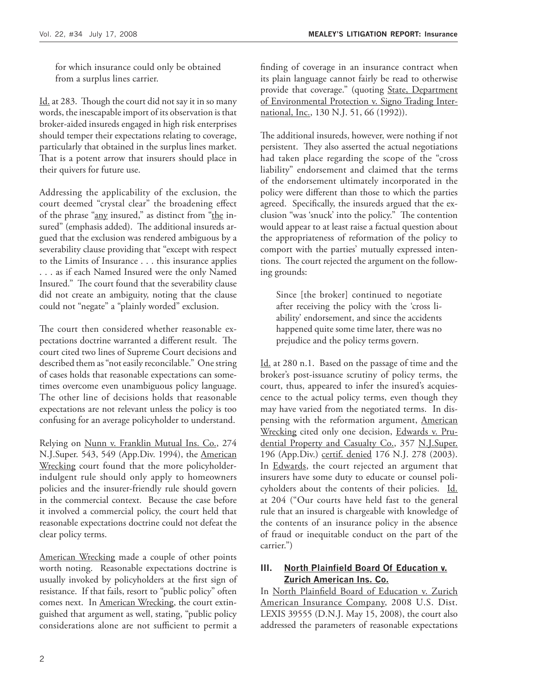for which insurance could only be obtained from a surplus lines carrier.

Id. at 283. Though the court did not say it in so many words, the inescapable import of its observation is that broker-aided insureds engaged in high risk enterprises should temper their expectations relating to coverage, particularly that obtained in the surplus lines market. That is a potent arrow that insurers should place in their quivers for future use.

Addressing the applicability of the exclusion, the court deemed "crystal clear" the broadening effect of the phrase "any insured," as distinct from "the insured" (emphasis added). The additional insureds argued that the exclusion was rendered ambiguous by a severability clause providing that "except with respect to the Limits of Insurance . . . this insurance applies . . . as if each Named Insured were the only Named Insured." The court found that the severability clause did not create an ambiguity, noting that the clause could not "negate" a "plainly worded" exclusion.

The court then considered whether reasonable expectations doctrine warranted a different result. The court cited two lines of Supreme Court decisions and described them as "not easily reconcilable." One string of cases holds that reasonable expectations can sometimes overcome even unambiguous policy language. The other line of decisions holds that reasonable expectations are not relevant unless the policy is too confusing for an average policyholder to understand.

Relying on Nunn v. Franklin Mutual Ins. Co., 274 N.J.Super. 543, 549 (App.Div. 1994), the American Wrecking court found that the more policyholderindulgent rule should only apply to homeowners policies and the insurer-friendly rule should govern in the commercial context. Because the case before it involved a commercial policy, the court held that reasonable expectations doctrine could not defeat the clear policy terms.

American Wrecking made a couple of other points worth noting. Reasonable expectations doctrine is usually invoked by policyholders at the first sign of resistance. If that fails, resort to "public policy" often comes next. In American Wrecking, the court extinguished that argument as well, stating, "public policy considerations alone are not sufficient to permit a

finding of coverage in an insurance contract when its plain language cannot fairly be read to otherwise provide that coverage." (quoting State, Department of Environmental Protection v. Signo Trading International, Inc., 130 N.J. 51, 66 (1992)).

The additional insureds, however, were nothing if not persistent. They also asserted the actual negotiations had taken place regarding the scope of the "cross liability" endorsement and claimed that the terms of the endorsement ultimately incorporated in the policy were different than those to which the parties agreed. Specifically, the insureds argued that the exclusion "was 'snuck' into the policy." The contention would appear to at least raise a factual question about the appropriateness of reformation of the policy to comport with the parties' mutually expressed intentions. The court rejected the argument on the following grounds:

Since [the broker] continued to negotiate after receiving the policy with the 'cross liability' endorsement, and since the accidents happened quite some time later, there was no prejudice and the policy terms govern.

Id. at 280 n.1. Based on the passage of time and the broker's post-issuance scrutiny of policy terms, the court, thus, appeared to infer the insured's acquiescence to the actual policy terms, even though they may have varied from the negotiated terms. In dispensing with the reformation argument, American Wrecking cited only one decision, Edwards v. Prudential Property and Casualty Co., 357 N.J.Super. 196 (App.Div.) certif. denied 176 N.J. 278 (2003). In Edwards, the court rejected an argument that insurers have some duty to educate or counsel policyholders about the contents of their policies. Id. at 204 ("Our courts have held fast to the general rule that an insured is chargeable with knowledge of the contents of an insurance policy in the absence of fraud or inequitable conduct on the part of the carrier.")

#### **III. North Plainfield Board Of Education v. Zurich American Ins. Co.**

In North Plainfield Board of Education v. Zurich American Insurance Company, 2008 U.S. Dist. LEXIS 39555 (D.N.J. May 15, 2008), the court also addressed the parameters of reasonable expectations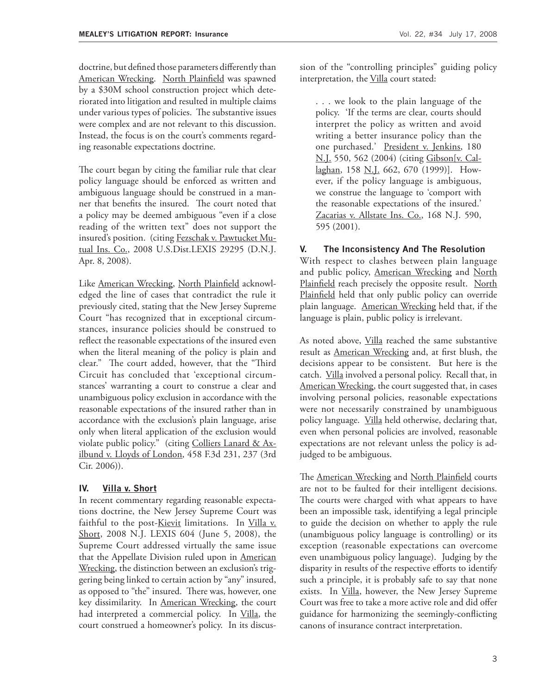doctrine, but defined those parameters differently than American Wrecking. North Plainfield was spawned by a \$30M school construction project which deteriorated into litigation and resulted in multiple claims under various types of policies. The substantive issues were complex and are not relevant to this discussion. Instead, the focus is on the court's comments regarding reasonable expectations doctrine.

The court began by citing the familiar rule that clear policy language should be enforced as written and ambiguous language should be construed in a manner that benefits the insured. The court noted that a policy may be deemed ambiguous "even if a close reading of the written text" does not support the insured's position. (citing Fezschak v. Pawtucket Mutual Ins. Co., 2008 U.S.Dist.LEXIS 29295 (D.N.J. Apr. 8, 2008).

Like American Wrecking, North Plainfield acknowledged the line of cases that contradict the rule it previously cited, stating that the New Jersey Supreme Court "has recognized that in exceptional circumstances, insurance policies should be construed to reflect the reasonable expectations of the insured even when the literal meaning of the policy is plain and clear." The court added, however, that the "Third Circuit has concluded that 'exceptional circumstances' warranting a court to construe a clear and unambiguous policy exclusion in accordance with the reasonable expectations of the insured rather than in accordance with the exclusion's plain language, arise only when literal application of the exclusion would violate public policy." (citing Colliers Lanard & Axilbund v. Lloyds of London, 458 F.3d 231, 237 (3rd Cir. 2006)).

#### **IV. Villa v. Short**

In recent commentary regarding reasonable expectations doctrine, the New Jersey Supreme Court was faithful to the post-Kievit limitations. In Villa v. Short, 2008 N.J. LEXIS 604 (June 5, 2008), the Supreme Court addressed virtually the same issue that the Appellate Division ruled upon in American Wrecking, the distinction between an exclusion's triggering being linked to certain action by "any" insured, as opposed to "the" insured. There was, however, one key dissimilarity. In American Wrecking, the court had interpreted a commercial policy. In Villa, the court construed a homeowner's policy. In its discussion of the "controlling principles" guiding policy interpretation, the Villa court stated:

. . . we look to the plain language of the policy. 'If the terms are clear, courts should interpret the policy as written and avoid writing a better insurance policy than the one purchased.' President v. Jenkins, 180 N.J. 550, 562 (2004) (citing Gibson[v. Callaghan, 158 N.J. 662, 670 (1999)]. However, if the policy language is ambiguous, we construe the language to 'comport with the reasonable expectations of the insured.' Zacarias v. Allstate Ins. Co., 168 N.J. 590, 595 (2001).

#### **V. The Inconsistency And The Resolution**

With respect to clashes between plain language and public policy, American Wrecking and North Plainfield reach precisely the opposite result. North Plainfield held that only public policy can override plain language. American Wrecking held that, if the language is plain, public policy is irrelevant.

As noted above, *Villa* reached the same substantive result as American Wrecking and, at first blush, the decisions appear to be consistent. But here is the catch. Villa involved a personal policy. Recall that, in American Wrecking, the court suggested that, in cases involving personal policies, reasonable expectations were not necessarily constrained by unambiguous policy language. Villa held otherwise, declaring that, even when personal policies are involved, reasonable expectations are not relevant unless the policy is adjudged to be ambiguous.

The American Wrecking and North Plainfield courts are not to be faulted for their intelligent decisions. The courts were charged with what appears to have been an impossible task, identifying a legal principle to guide the decision on whether to apply the rule (unambiguous policy language is controlling) or its exception (reasonable expectations can overcome even unambiguous policy language). Judging by the disparity in results of the respective efforts to identify such a principle, it is probably safe to say that none exists. In *Villa*, however, the New Jersey Supreme Court was free to take a more active role and did offer guidance for harmonizing the seemingly-conflicting canons of insurance contract interpretation.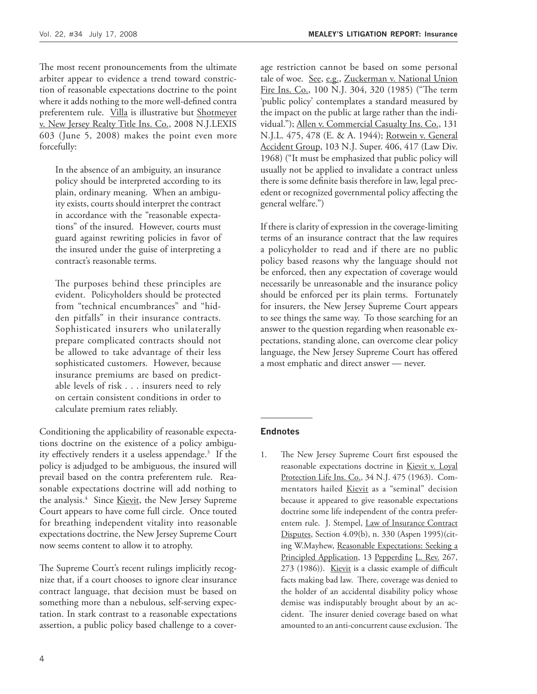The most recent pronouncements from the ultimate arbiter appear to evidence a trend toward constriction of reasonable expectations doctrine to the point where it adds nothing to the more well-defined contra preferentem rule. Villa is illustrative but Shotmeyer v. New Jersey Realty Title Ins. Co., 2008 N.J.LEXIS 603 (June 5, 2008) makes the point even more forcefully:

In the absence of an ambiguity, an insurance policy should be interpreted according to its plain, ordinary meaning. When an ambiguity exists, courts should interpret the contract in accordance with the "reasonable expectations" of the insured. However, courts must guard against rewriting policies in favor of the insured under the guise of interpreting a contract's reasonable terms.

The purposes behind these principles are evident. Policyholders should be protected from "technical encumbrances" and "hidden pitfalls" in their insurance contracts. Sophisticated insurers who unilaterally prepare complicated contracts should not be allowed to take advantage of their less sophisticated customers. However, because insurance premiums are based on predictable levels of risk . . . insurers need to rely on certain consistent conditions in order to calculate premium rates reliably.

Conditioning the applicability of reasonable expectations doctrine on the existence of a policy ambiguity effectively renders it a useless appendage.<sup>3</sup> If the policy is adjudged to be ambiguous, the insured will prevail based on the contra preferentem rule. Reasonable expectations doctrine will add nothing to the analysis.<sup>4</sup> Since Kievit, the New Jersey Supreme Court appears to have come full circle. Once touted for breathing independent vitality into reasonable expectations doctrine, the New Jersey Supreme Court now seems content to allow it to atrophy.

The Supreme Court's recent rulings implicitly recognize that, if a court chooses to ignore clear insurance contract language, that decision must be based on something more than a nebulous, self-serving expectation. In stark contrast to a reasonable expectations assertion, a public policy based challenge to a coverage restriction cannot be based on some personal tale of woe. See, e.g., Zuckerman v. National Union Fire Ins. Co., 100 N.J. 304, 320 (1985) ("The term 'public policy' contemplates a standard measured by the impact on the public at large rather than the individual."); Allen v. Commercial Casualty Ins. Co., 131 N.J.L. 475, 478 (E. & A. 1944); Rotwein v. General Accident Group, 103 N.J. Super. 406, 417 (Law Div. 1968) ("It must be emphasized that public policy will usually not be applied to invalidate a contract unless there is some definite basis therefore in law, legal precedent or recognized governmental policy affecting the general welfare.")

If there is clarity of expression in the coverage-limiting terms of an insurance contract that the law requires a policyholder to read and if there are no public policy based reasons why the language should not be enforced, then any expectation of coverage would necessarily be unreasonable and the insurance policy should be enforced per its plain terms. Fortunately for insurers, the New Jersey Supreme Court appears to see things the same way. To those searching for an answer to the question regarding when reasonable expectations, standing alone, can overcome clear policy language, the New Jersey Supreme Court has offered a most emphatic and direct answer — never.

#### **Endnotes**

1. The New Jersey Supreme Court first espoused the reasonable expectations doctrine in Kievit v. Loyal Protection Life Ins. Co., 34 N.J. 475 (1963). Commentators hailed Kievit as a "seminal" decision because it appeared to give reasonable expectations doctrine some life independent of the contra preferentem rule. J. Stempel, Law of Insurance Contract Disputes, Section 4.09(b), n. 330 (Aspen 1995)(citing W.Mayhew, Reasonable Expectations: Seeking a Principled Application, 13 Pepperdine L. Rev. 267, 273 (1986)). Kievit is a classic example of difficult facts making bad law. There, coverage was denied to the holder of an accidental disability policy whose demise was indisputably brought about by an accident. The insurer denied coverage based on what amounted to an anti-concurrent cause exclusion. The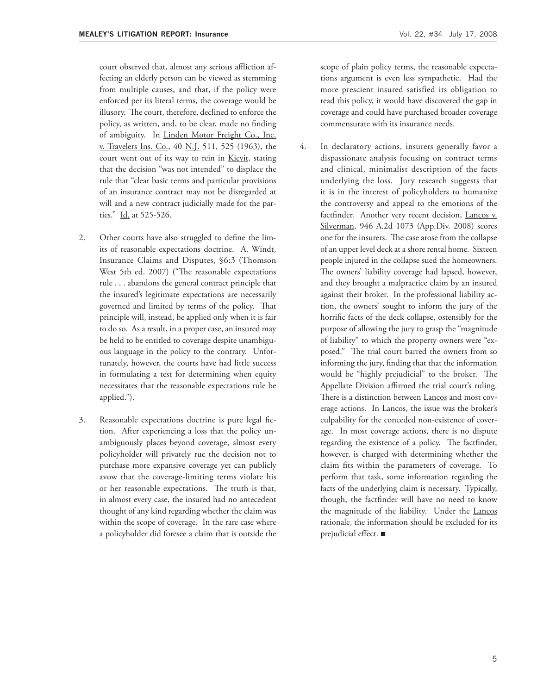court observed that, almost any serious affliction affecting an elderly person can be viewed as stemming from multiple causes, and that, if the policy were enforced per its literal terms, the coverage would be illusory. The court, therefore, declined to enforce the policy, as written, and, to be clear, made no finding of ambiguity. In Linden Motor Freight Co., Inc. v. Travelers Ins. Co., 40 N.J. 511, 525 (1963), the court went out of its way to rein in Kievit, stating that the decision "was not intended" to displace the rule that "clear basic terms and particular provisions of an insurance contract may not be disregarded at will and a new contract judicially made for the parties." Id. at 525-526.

- 2. Other courts have also struggled to define the limits of reasonable expectations doctrine. A. Windt, Insurance Claims and Disputes, §6:3 (Thomson West 5th ed. 2007) ("The reasonable expectations rule . . . abandons the general contract principle that the insured's legitimate expectations are necessarily governed and limited by terms of the policy. That principle will, instead, be applied only when it is fair to do so. As a result, in a proper case, an insured may be held to be entitled to coverage despite unambiguous language in the policy to the contrary. Unfortunately, however, the courts have had little success in formulating a test for determining when equity necessitates that the reasonable expectations rule be applied.").
- 3. Reasonable expectations doctrine is pure legal fiction. After experiencing a loss that the policy unambiguously places beyond coverage, almost every policyholder will privately rue the decision not to purchase more expansive coverage yet can publicly avow that the coverage-limiting terms violate his or her reasonable expectations. The truth is that, in almost every case, the insured had no antecedent thought of any kind regarding whether the claim was within the scope of coverage. In the rare case where a policyholder did foresee a claim that is outside the

scope of plain policy terms, the reasonable expectations argument is even less sympathetic. Had the more prescient insured satisfied its obligation to read this policy, it would have discovered the gap in coverage and could have purchased broader coverage commensurate with its insurance needs.

4. In declaratory actions, insurers generally favor a dispassionate analysis focusing on contract terms and clinical, minimalist description of the facts underlying the loss. Jury research suggests that it is in the interest of policyholders to humanize the controversy and appeal to the emotions of the factfinder. Another very recent decision, Lancos v. Silverman, 946 A.2d 1073 (App.Div. 2008) scores one for the insurers. The case arose from the collapse of an upper level deck at a shore rental home. Sixteen people injured in the collapse sued the homeowners. The owners' liability coverage had lapsed, however, and they brought a malpractice claim by an insured against their broker. In the professional liability action, the owners' sought to inform the jury of the horrific facts of the deck collapse, ostensibly for the purpose of allowing the jury to grasp the "magnitude of liability" to which the property owners were "exposed." The trial court barred the owners from so informing the jury, finding that that the information would be "highly prejudicial" to the broker. The Appellate Division affirmed the trial court's ruling. There is a distinction between **Lancos** and most coverage actions. In Lancos, the issue was the broker's culpability for the conceded non-existence of coverage. In most coverage actions, there is no dispute regarding the existence of a policy. The factfinder, however, is charged with determining whether the claim fits within the parameters of coverage. To perform that task, some information regarding the facts of the underlying claim is necessary. Typically, though, the factfinder will have no need to know the magnitude of the liability. Under the Lancos rationale, the information should be excluded for its prejudicial effect.  $\blacksquare$